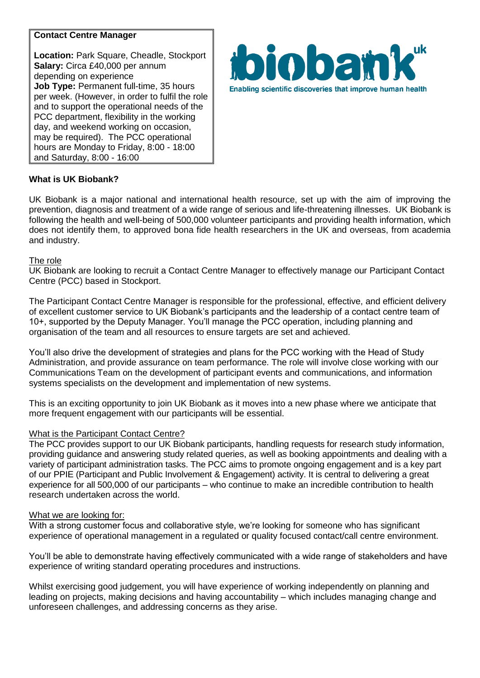# **Contact Centre Manager**

**Location:** Park Square, Cheadle, Stockport **Salary:** Circa £40,000 per annum depending on experience **Job Type:** Permanent full-time, 35 hours per week. (However, in order to fulfil the role and to support the operational needs of the PCC department, flexibility in the working day, and weekend working on occasion, may be required). The PCC operational hours are Monday to Friday, 8:00 - 18:00 and Saturday, 8:00 - 16:00



## **What is UK Biobank?**

UK Biobank is a major national and international health resource, set up with the aim of improving the prevention, diagnosis and treatment of a wide range of serious and life-threatening illnesses. UK Biobank is following the health and well-being of 500,000 volunteer participants and providing health information, which does not identify them, to approved bona fide health researchers in the UK and overseas, from academia and industry.

#### The role

UK Biobank are looking to recruit a Contact Centre Manager to effectively manage our Participant Contact Centre (PCC) based in Stockport.

The Participant Contact Centre Manager is responsible for the professional, effective, and efficient delivery of excellent customer service to UK Biobank's participants and the leadership of a contact centre team of 10+, supported by the Deputy Manager. You'll manage the PCC operation, including planning and organisation of the team and all resources to ensure targets are set and achieved.

You'll also drive the development of strategies and plans for the PCC working with the Head of Study Administration, and provide assurance on team performance. The role will involve close working with our Communications Team on the development of participant events and communications, and information systems specialists on the development and implementation of new systems.

This is an exciting opportunity to join UK Biobank as it moves into a new phase where we anticipate that more frequent engagement with our participants will be essential.

## What is the Participant Contact Centre?

The PCC provides support to our UK Biobank participants, handling requests for research study information, providing guidance and answering study related queries, as well as booking appointments and dealing with a variety of participant administration tasks. The PCC aims to promote ongoing engagement and is a key part of our PPIE (Participant and Public Involvement & Engagement) activity. It is central to delivering a great experience for all 500,000 of our participants – who continue to make an incredible contribution to health research undertaken across the world.

#### What we are looking for:

With a strong customer focus and collaborative style, we're looking for someone who has significant experience of operational management in a regulated or quality focused contact/call centre environment.

You'll be able to demonstrate having effectively communicated with a wide range of stakeholders and have experience of writing standard operating procedures and instructions.

Whilst exercising good judgement, you will have experience of working independently on planning and leading on projects, making decisions and having accountability – which includes managing change and unforeseen challenges, and addressing concerns as they arise.